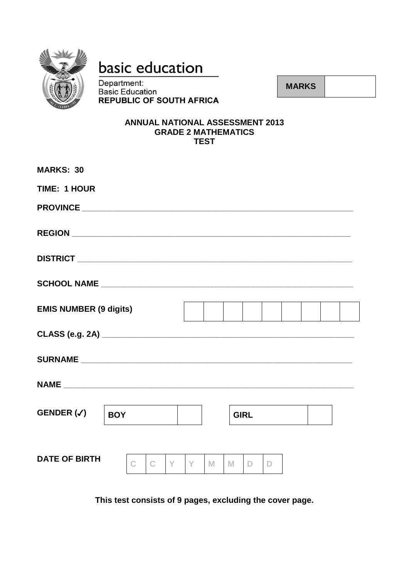

# basic education

Department: **Basic Education REPUBLIC OF SOUTH AFRICA** 

**MARKS** 

#### **ANNUAL NATIONAL ASSESSMENT 2013 GRADE 2 MATHEMATICS TEST**

| <b>MARKS: 30</b>              |                        |   |   |                   |              |  |  |
|-------------------------------|------------------------|---|---|-------------------|--------------|--|--|
| <b>TIME: 1 HOUR</b>           |                        |   |   |                   |              |  |  |
|                               |                        |   |   |                   |              |  |  |
|                               |                        |   |   |                   |              |  |  |
|                               |                        |   |   |                   |              |  |  |
|                               |                        |   |   |                   |              |  |  |
| <b>EMIS NUMBER (9 digits)</b> |                        |   |   |                   |              |  |  |
|                               |                        |   |   |                   |              |  |  |
|                               |                        |   |   |                   |              |  |  |
|                               |                        |   |   |                   |              |  |  |
| GENDER $(\checkmark)$         | <b>BOY</b>             |   |   | <b>GIRL</b>       |              |  |  |
| <b>DATE OF BIRTH</b>          | Y<br>C<br>$\mathbb{C}$ | Y | M | M<br>$\mathbb{D}$ | $\mathbb{D}$ |  |  |
|                               |                        |   |   |                   |              |  |  |

This test consists of 9 pages, excluding the cover page.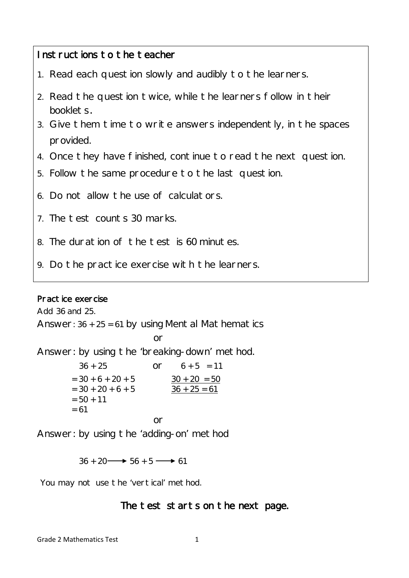## Instructions to the teacher

- 1. Read each question slowly and audibly to the learners.
- 2. Read the question twice, while the learners follow in their booklets.
- 3. Give them time to write answers independently, in the spaces provided.
- 4. Once they have finished, continue to read the next question.
- 5. Follow the same procedure to the last question.
- 6. Do not allow the use of calculators.
- 7. The test counts 30 marks.
- 8. The duration of the test is 60 minutes.
- 9. Do the practice exercise with the learners.

### Practice exercise

Add 36 and 25.

Answer:  $36 + 25 = 61$  by using Mental Mathematics

**or** and the state of the state of the state of the state of the state of the state of the state of the state of the state of the state of the state of the state of the state of the state of the state of the state of the s Answer: by using the 'breaking-down' method.  $36 + 25$  or  $6 + 5 = 11$  $= 30 + 6 + 20 + 5$   $30 + 20 = 50$ 

| $=$ 30 + 20 + 6 + 5<br>$= 50 + 11$<br>$= 61$ |    | $36 + 25 = 61$ |
|----------------------------------------------|----|----------------|
|                                              | nr |                |
|                                              |    |                |

Answer: by using the 'adding-on' method

 $36 + 20 \longrightarrow 56 + 5 \longrightarrow 61$ 

You may not use the 'vertical' method.

## The test starts on the next page.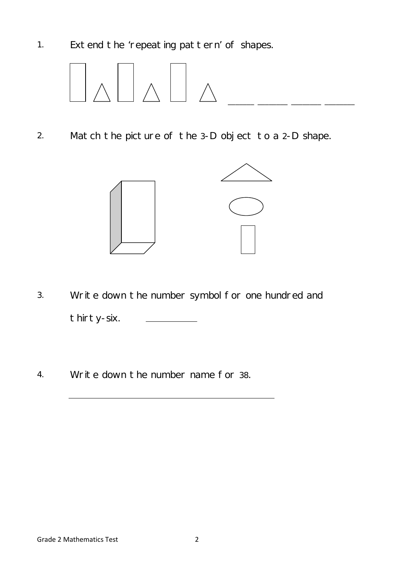1. Extend the 'repeating pattern' of shapes.



2. Match the picture of the 3-D object to a 2-D shape.



- 3. Write down the number symbol for one hundred and thirty-six.
- 4. Write down the number name for 38.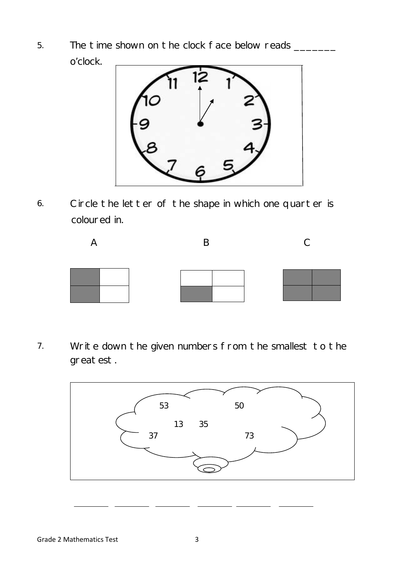5. The time shown on the clock face below reads \_\_\_\_\_\_\_\_ o'clock.



6. Circle the letter of the shape in which one quarter is coloured in.



7. Write down the given numbers from the smallest to the greatest.

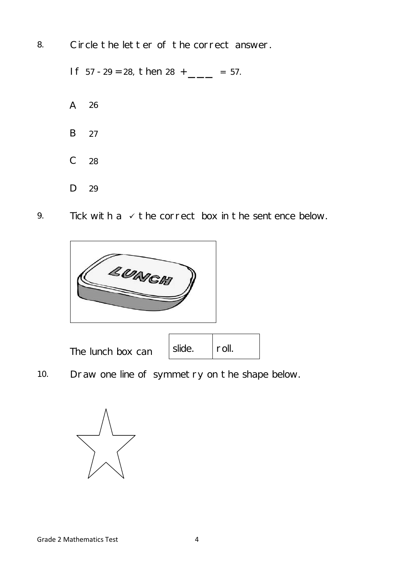8. Circle the letter of the correct answer.

If  $57 - 29 = 28$ , then  $28 +$  \_\_\_\_ = 57. A 26 B C D 27 28 29

9. Tick with a  $\checkmark$  the correct box in the sentence below.

| <b>LUNG</b>       |        |       |  |  |
|-------------------|--------|-------|--|--|
| The lunch box can | slide. | roll. |  |  |

10. Draw one line of symmetry on the shape below.

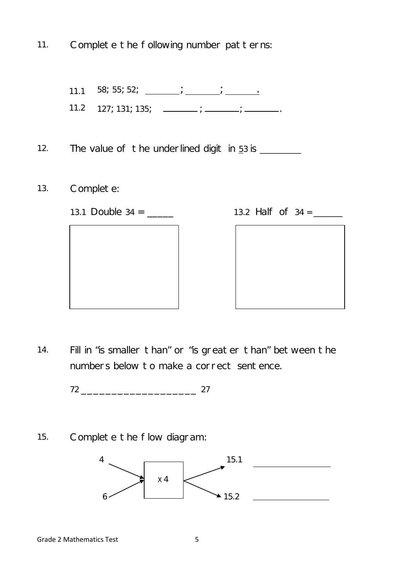11. Complete the following number patterns:

11.1 58; 55; 52;  $\frac{1}{\sqrt{25}}$ ;  $\frac{1}{\sqrt{25}}$ 11.2  $127; 131; 135;$   $\frac{\ }{\ }$  ;  $\frac{\ }{\ }$  ;  $\frac{\ }{\ }$  ;  $\frac{\ }{\ }$  ...

12. The value of the underlined digit in  $53$  is  $\frac{1}{2}$ 

- 13. Complete:
	- 13.1 Double 34 = \_\_\_\_\_ 13.2 Half of 34 = \_\_\_\_\_\_\_



| 13.2 Half of 34 |  |  |
|-----------------|--|--|
|                 |  |  |



14. Fill in "is smaller than" or "is greater than" between the numbers below to make a correct sentence.

72 \_\_\_\_\_\_\_\_\_\_\_\_\_\_\_\_\_\_\_ 27

15. Complete the flow diagram:

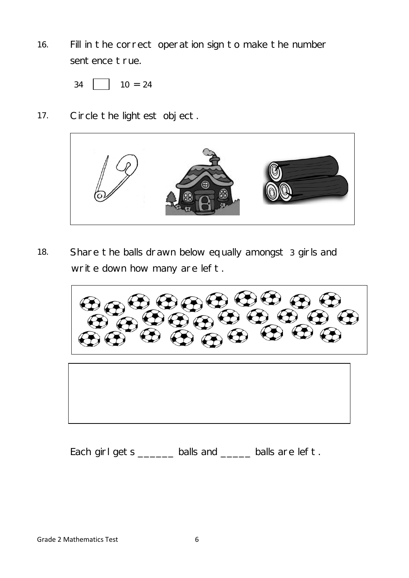16. Fill in the correct operation sign to make the number sentence true.

 $34$  10 = 24

17. Circle the lightest object.



18. Share the balls drawn below equally amongst 3 girls and write down how many are left.

 $\bigoplus_{\infty}$  (2) (2) (3)

Each girl gets \_\_\_\_\_\_\_ balls and \_\_\_\_\_ balls are left.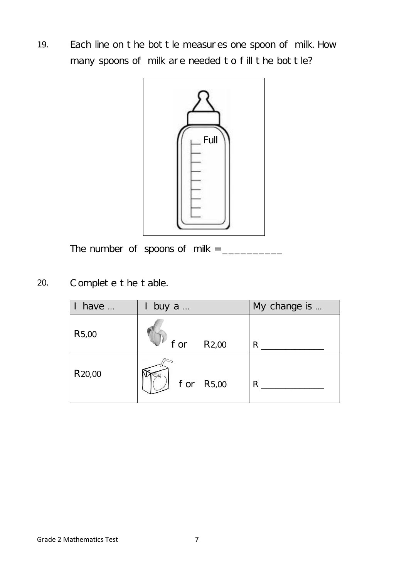19. Each line on the bottle measures one spoon of milk. How many spoons of milk are needed to fill the bottle?



The number of spoons of milk =  $\frac{1}{2}$ 

20. Complete the table.

| have                | buy a         |           | My change is |
|---------------------|---------------|-----------|--------------|
| R <sub>5</sub> ,00  | $for$ $R2,00$ |           | R            |
| R <sub>20</sub> ,00 |               | for R5,00 | R            |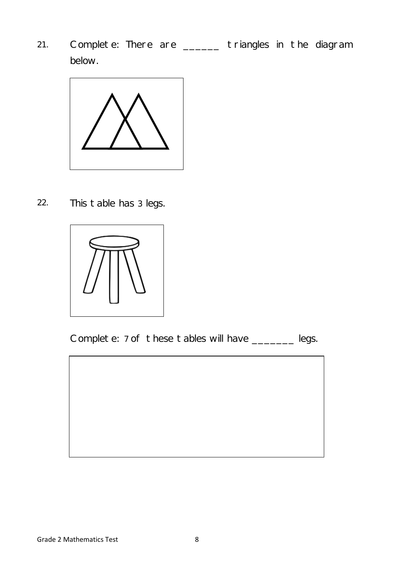21. Complete: There are \_\_\_\_\_\_ triangles in the diagram below.



22. This table has 3 legs.



Complete: 7 of these tables will have \_\_\_\_\_\_\_ legs.